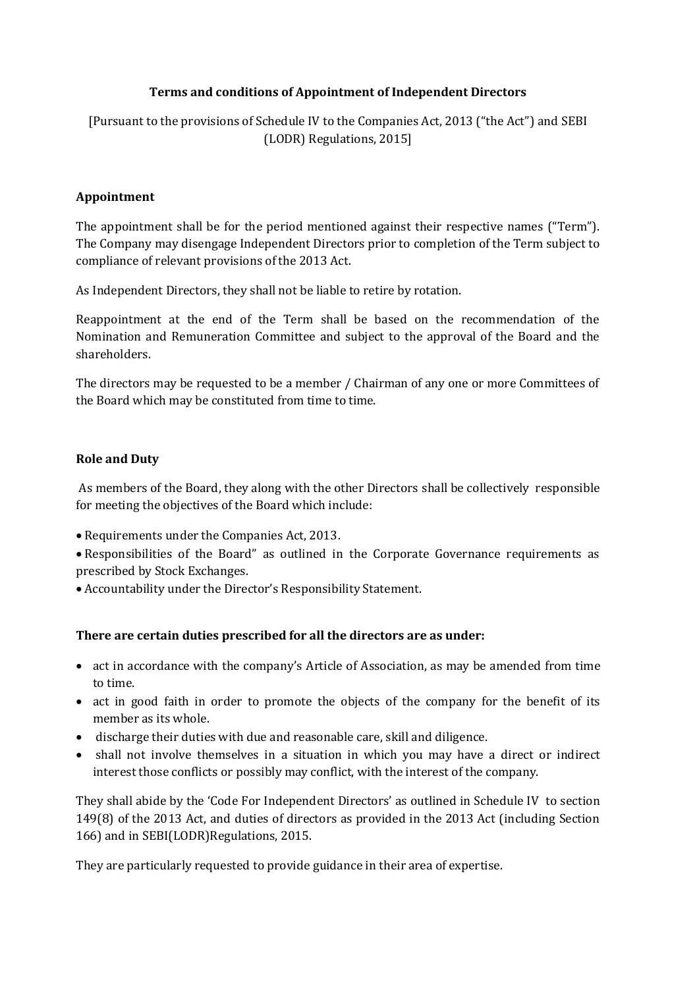# **Terms and conditions of Appointment of Independent Directors**

[Pursuant to the provisions of Schedule IV to the Companies Act, 2013 ("the Act") and SEBI (LODR) Regulations, 2015]

## **Appointment**

The appointment shall be for the period mentioned against their respective names ("Term"). The Company may disengage Independent Directors prior to completion of the Term subject to compliance of relevant provisions of the 2013 Act.

As Independent Directors, they shall not be liable to retire by rotation.

Reappointment at the end of the Term shall be based on the recommendation of the Nomination and Remuneration Committee and subject to the approval of the Board and the shareholders.

The directors may be requested to be a member / Chairman of any one or more Committees of the Board which may be constituted from time to time.

# **Role and Duty**

As members of the Board, they along with the other Directors shall be collectively responsible for meeting the objectives of the Board which include:

Requirements under the Companies Act, 2013.

 Responsibilities of the Board" as outlined in the Corporate Governance requirements as prescribed by Stock Exchanges.

Accountability under the Director's Responsibility Statement.

## **There are certain duties prescribed for all the directors are as under:**

- act in accordance with the company's Article of Association, as may be amended from time to time.
- act in good faith in order to promote the objects of the company for the benefit of its member as its whole.
- discharge their duties with due and reasonable care, skill and diligence.
- shall not involve themselves in a situation in which you may have a direct or indirect interest those conflicts or possibly may conflict, with the interest of the company.

They shall abide by the 'Code For Independent Directors' as outlined in Schedule IV to section 149(8) of the 2013 Act, and duties of directors as provided in the 2013 Act (including Section 166) and in SEBI(LODR)Regulations, 2015.

They are particularly requested to provide guidance in their area of expertise.